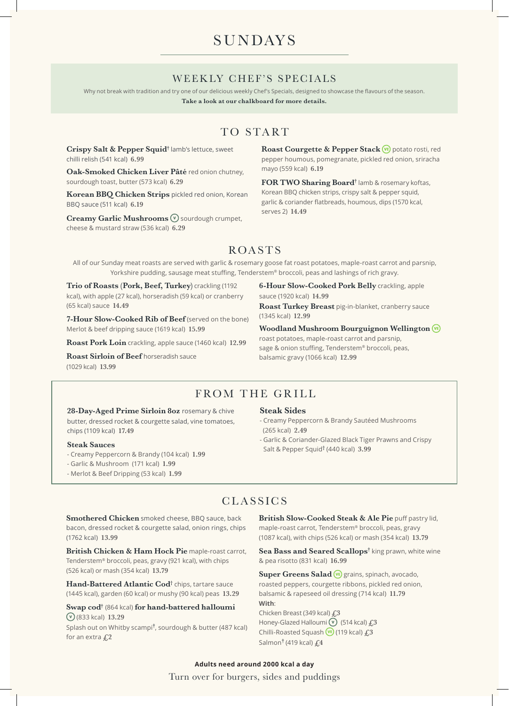# SUNDAYS

### WEEKLY CHEF'S SPECIALS

Why not break with tradition and try one of our delicious weekly Chef's Specials, designed to showcase the flavours of the season.

**Take a look at our chalkboard for more details.**

## TO START

**Crispy Salt & Pepper Squid†** lamb's lettuce, sweet chilli relish (541 kcal) **6.99**

**Oak-Smoked Chicken Liver Pâté** red onion chutney, sourdough toast, butter (573 kcal) **6.29**

**Korean BBQ Chicken Strips** pickled red onion, Korean BBQ sauce (511 kcal) **6.19**

**Creamy Garlic Mushrooms**  $\mathbf{\nabla}$  sourdough crumpet, cheese & mustard straw (536 kcal) **6.29**

Roast Courgette & Pepper Stack **VE** potato rosti, red pepper houmous, pomegranate, pickled red onion, sriracha mayo (559 kcal) **6.19**

**FOR TWO Sharing Board†** lamb & rosemary koftas, Korean BBQ chicken strips, crispy salt & pepper squid, garlic & coriander flatbreads, houmous, dips (1570 kcal, serves 2) **14.49**

## ROASTS

All of our Sunday meat roasts are served with garlic & rosemary goose fat roast potatoes, maple-roast carrot and parsnip, Yorkshire pudding, sausage meat stuffing, Tenderstem® broccoli, peas and lashings of rich gravy.

**Trio of Roasts (Pork, Beef, Turkey)** crackling (1192 kcal), with apple (27 kcal), horseradish (59 kcal) or cranberry (65 kcal) sauce **14.49**

**7-Hour Slow-Cooked Rib of Beef** (served on the bone) Merlot & beef dripping sauce (1619 kcal) **15.99**

**Roast Pork Loin** crackling, apple sauce (1460 kcal) **12.99**

**Roast Sirloin of Beef** horseradish sauce (1029 kcal) **13.99**

**6-Hour Slow-Cooked Pork Belly** crackling, apple sauce (1920 kcal) **14.99**

**Roast Turkey Breast** pig-in-blanket, cranberry sauce (1345 kcal) **12.99**

**Woodland Mushroom Bourguignon Wellington**  roast potatoes, maple-roast carrot and parsnip,

sage & onion stuffing, Tenderstem® broccoli, peas, balsamic gravy (1066 kcal) **12.99**

## FROM THE GRILL

**28-Day-Aged Prime Sirloin 8oz** rosemary & chive butter, dressed rocket & courgette salad, vine tomatoes, chips (1109 kcal) **17.49**

#### **Steak Sauces**

- Creamy Peppercorn & Brandy (104 kcal) **1.99**
- Garlic & Mushroom (171 kcal) **1.99**
- Merlot & Beef Dripping (53 kcal) **1.99**

#### **Steak Sides**

- Creamy Peppercorn & Brandy Sautéed Mushrooms (265 kcal) **2.49**
- Garlic & Coriander-Glazed Black Tiger Prawns and Crispy Salt & Pepper Squid† (440 kcal) **3.99**

### CLASSICS

**Smothered Chicken** smoked cheese, BBQ sauce, back bacon, dressed rocket & courgette salad, onion rings, chips (1762 kcal) **13.99**

**British Chicken & Ham Hock Pie** maple-roast carrot, Tenderstem® broccoli, peas, gravy (921 kcal), with chips (526 kcal) or mash (354 kcal) **13.79**

**Hand-Battered Atlantic Cod**† chips, tartare sauce (1445 kcal), garden (60 kcal) or mushy (90 kcal) peas **13.29**

**Swap cod†** (864 kcal) **for hand-battered halloumi**  (833 kcal) **13.29**

Splash out on Whitby scampi**†** , sourdough & butter (487 kcal) for an extra **£2**

**British Slow-Cooked Steak & Ale Pie** puff pastry lid, maple-roast carrot, Tenderstem® broccoli, peas, gravy (1087 kcal), with chips (526 kcal) or mash (354 kcal) **13.79**

Sea Bass and Seared Scallops<sup>†</sup> king prawn, white wine & pea risotto (831 kcal) **16.99**

Super Greens Salad **VE** grains, spinach, avocado, roasted peppers, courgette ribbons, pickled red onion, balsamic & rapeseed oil dressing (714 kcal) **11.79 With**: Chicken Breast (349 kcal) **£3** Honey-Glazed Halloumi <sup>(v</sup>) (514 kcal)  $f<sub>1</sub>3$ 

Chilli-Roasted Squash (119 kcal) **£3** Salmon**†** (419 kcal) **£4**

Turn over for burgers, sides and puddings **Adults need around 2000 kcal a day**